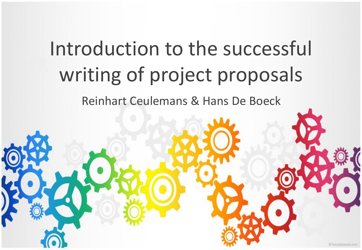### Introduction to the successful writing of project proposals

Reinhart Ceulemans & Hans De Boeck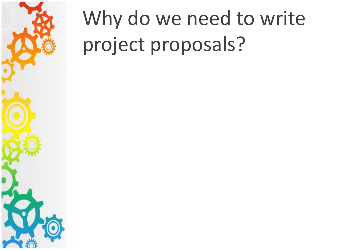

## Why do we need to write project proposals?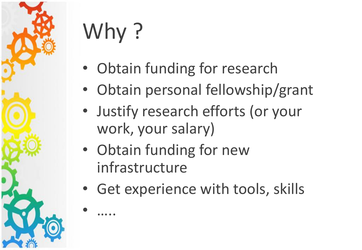

# Why ?

• …..

- Obtain funding for research
- Obtain personal fellowship/grant
- Justify research efforts (or your work, your salary)
- Obtain funding for new infrastructure
- Get experience with tools, skills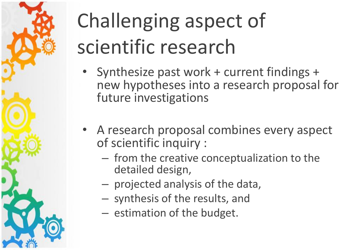# Challenging aspect of scientific research

- Synthesize past work + current findings + new hypotheses into a research proposal for future investigations
- A research proposal combines every aspect of scientific inquiry :
	- from the creative conceptualization to the detailed design,
	- projected analysis of the data,
	- synthesis of the results, and
	- estimation of the budget.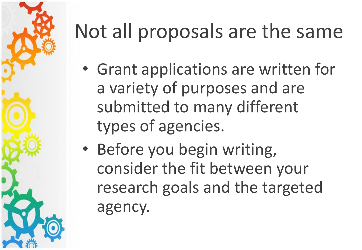

## Not all proposals are the same

- Grant applications are written for a variety of purposes and are submitted to many different types of agencies.
- Before you begin writing, consider the fit between your research goals and the targeted agency.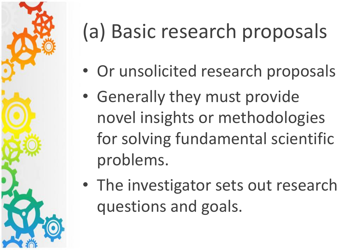

## (a) Basic research proposals

- Or unsolicited research proposals
- Generally they must provide novel insights or methodologies for solving fundamental scientific problems.
- The investigator sets out research questions and goals.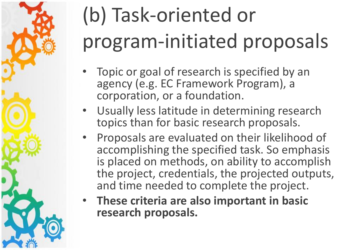## (b) Task-oriented or program-initiated proposals

- Topic or goal of research is specified by an agency (e.g. EC Framework Program), a corporation, or a foundation.
- Usually less latitude in determining research topics than for basic research proposals.
- Proposals are evaluated on their likelihood of accomplishing the specified task. So emphasis is placed on methods, on ability to accomplish the project, credentials, the projected outputs, and time needed to complete the project.
- **These criteria are also important in basic research proposals.**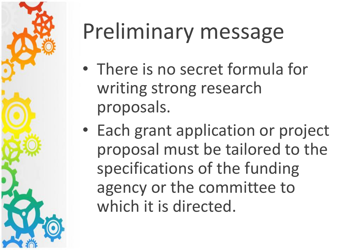

## Preliminary message

- There is no secret formula for writing strong research proposals.
- Each grant application or project proposal must be tailored to the specifications of the funding agency or the committee to which it is directed.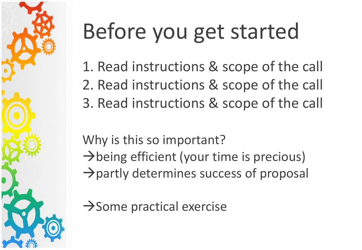

1. Read instructions & scope of the call 2. Read instructions & scope of the call 3. Read instructions & scope of the call

Why is this so important?  $\rightarrow$  being efficient (your time is precious)  $\rightarrow$  partly determines success of proposal

 $\rightarrow$  Some practical exercise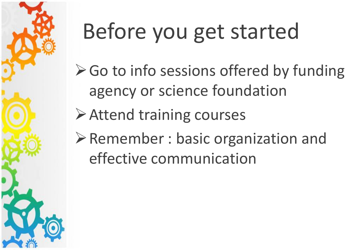

- $\triangleright$  Go to info sessions offered by funding agency or science foundation
- **≻Attend training courses**
- $\triangleright$  Remember : basic organization and effective communication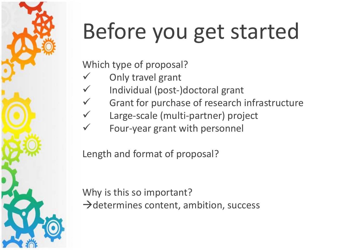Which type of proposal?

- Only travel grant
- Individual (post-)doctoral grant
- Grant for purchase of research infrastructure
- Large-scale (multi-partner) project
- Four-year grant with personnel

Length and format of proposal?

Why is this so important?  $\rightarrow$  determines content, ambition, success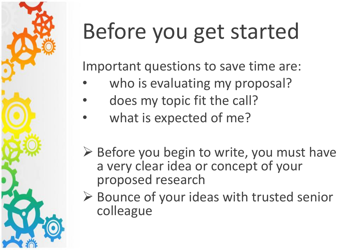Important questions to save time are:

- who is evaluating my proposal?
- does my topic fit the call?
- what is expected of me?
- $\triangleright$  Before you begin to write, you must have a very clear idea or concept of your proposed research
- $\triangleright$  Bounce of your ideas with trusted senior colleague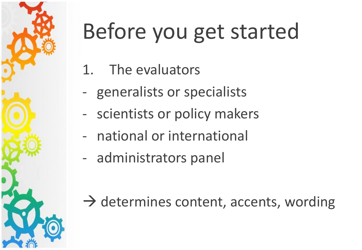

- 1. The evaluators
- generalists or specialists
- scientists or policy makers
- national or international
- administrators panel

 $\rightarrow$  determines content, accents, wording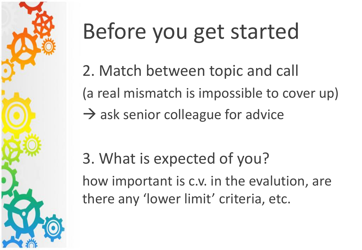

2. Match between topic and call (a real mismatch is impossible to cover up)  $\rightarrow$  ask senior colleague for advice

3. What is expected of you? how important is c.v. in the evalution, are there any 'lower limit' criteria, etc.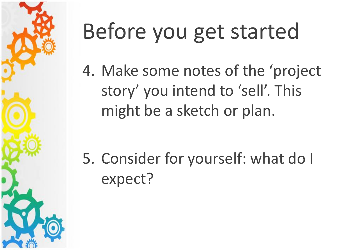

4. Make some notes of the 'project story' you intend to 'sell'. This might be a sketch or plan.

5. Consider for yourself: what do I expect?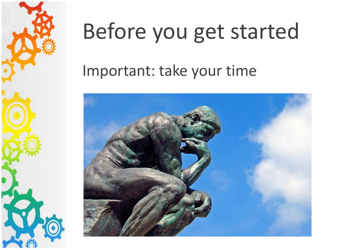

#### Important: take your time

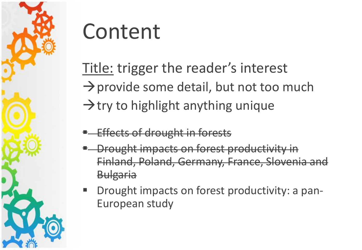

Title: trigger the reader's interest  $\rightarrow$  provide some detail, but not too much  $\rightarrow$  try to highlight anything unique

- Effects of drought in forests
- Drought impacts on forest productivity in Finland, Poland, Germany, France, Slovenia and Bulgaria
- Drought impacts on forest productivity: a pan-European study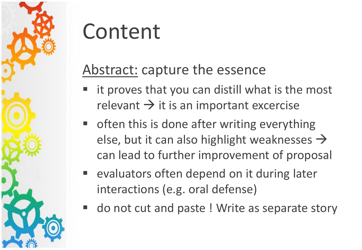#### Abstract: capture the essence

- it proves that you can distill what is the most relevant  $\rightarrow$  it is an important excercise
- often this is done after writing everything else, but it can also highlight weaknesses  $\rightarrow$ can lead to further improvement of proposal
- evaluators often depend on it during later interactions (e.g. oral defense)
- do not cut and paste ! Write as separate story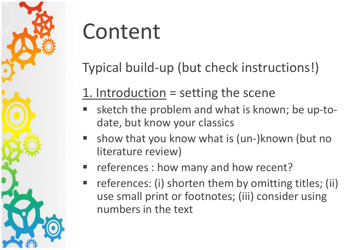

Typical build-up (but check instructions!)

#### 1. Introduction  $=$  setting the scene

- sketch the problem and what is known; be up-todate, but know your classics
- show that you know what is (un-)known (but no literature review)
- F references : how many and how recent?
- references: (i) shorten them by omitting titles; (ii) use small print or footnotes; (iii) consider using numbers in the text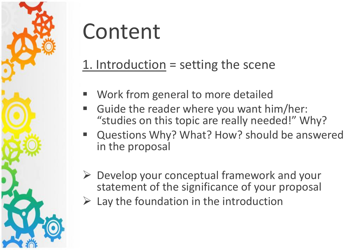

#### 1. Introduction = setting the scene

- Work from general to more detailed
- Guide the reader where you want him/her: "studies on this topic are really needed!" Why?
- Questions Why? What? How? should be answered in the proposal
- $\triangleright$  Develop your conceptual framework and your statement of the significance of your proposal
- $\triangleright$  Lay the foundation in the introduction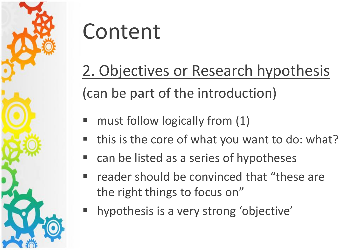

### 2. Objectives or Research hypothesis (can be part of the introduction)

- $\blacksquare$  must follow logically from  $(1)$
- this is the core of what you want to do: what?
- can be listed as a series of hypotheses
- reader should be convinced that "these are the right things to focus on"
- hypothesis is a very strong 'objective'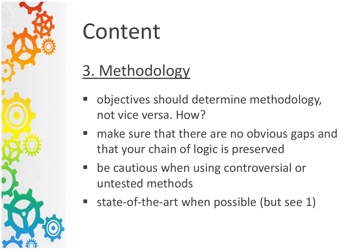

#### 3. Methodology

- objectives should determine methodology, not vice versa. How?
- make sure that there are no obvious gaps and that your chain of logic is preserved
- be cautious when using controversial or untested methods
- state-of-the-art when possible (but see 1)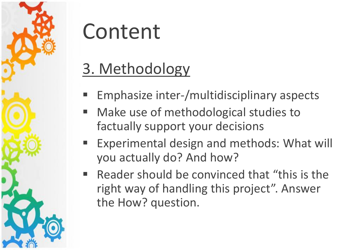

### 3. Methodology

- Emphasize inter-/multidisciplinary aspects
- Make use of methodological studies to factually support your decisions
- Experimental design and methods: What will you actually do? And how?
- Reader should be convinced that "this is the right way of handling this project". Answer the How? question.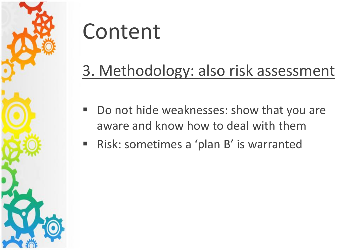

#### 3. Methodology: also risk assessment

- Do not hide weaknesses: show that you are aware and know how to deal with them
- Risk: sometimes a 'plan B' is warranted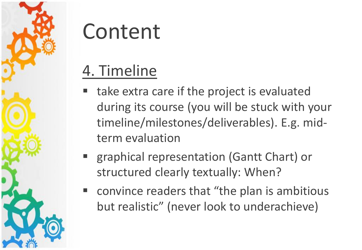

#### 4. Timeline

- take extra care if the project is evaluated during its course (you will be stuck with your timeline/milestones/deliverables). E.g. midterm evaluation
- graphical representation (Gantt Chart) or structured clearly textually: When?
- convince readers that "the plan is ambitious but realistic" (never look to underachieve)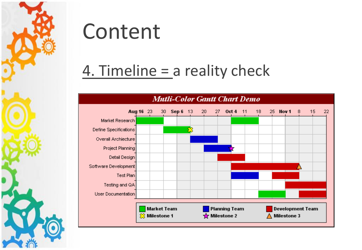

#### 4. Timeline = a reality check

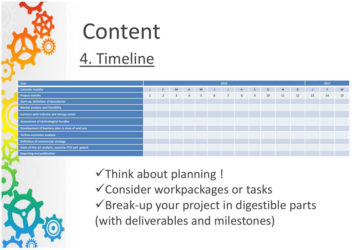

### Content 4. Timeline

|  | Year                                              | 2016 |                |   |                |   |   |                 |                |   |         | 2017 |    |    |    |    |
|--|---------------------------------------------------|------|----------------|---|----------------|---|---|-----------------|----------------|---|---------|------|----|----|----|----|
|  | Calendar months                                   |      | F.             | M | $\mathsf{A}$   | M |   |                 | $\overline{A}$ | S | $\circ$ | N    | D  |    |    | M  |
|  | <b>Project months</b>                             |      | $\overline{2}$ | 3 | $\overline{4}$ | 5 | 6 | $7\overline{ }$ | 8              | 9 | 10      | 11   | 12 | 13 | 14 | 15 |
|  | Start-up, definition of boundaries                |      |                |   |                |   |   |                 |                |   |         |      |    |    |    |    |
|  | Market analysis and feasibility                   |      |                |   |                |   |   |                 |                |   |         |      |    |    |    |    |
|  | Contacts with industry and energy sector          |      |                |   |                |   |   |                 |                |   |         |      |    |    |    |    |
|  | Assessment of technological hurdles               |      |                |   |                |   |   |                 |                |   |         |      |    |    |    |    |
|  | Development of business plan in view of end user  |      |                |   |                |   |   |                 |                |   |         |      |    |    |    |    |
|  | Techno-economic analysis                          |      |                |   |                |   |   |                 |                |   |         |      |    |    |    |    |
|  | Definition of commercial strategy                 |      |                |   |                |   |   |                 |                |   |         |      |    |    |    |    |
|  | State-of-the-art analysis, examine FTO and patent |      |                |   |                |   |   |                 |                |   |         |      |    |    |    |    |
|  | Reporting and publication                         |      |                |   |                |   |   |                 |                |   |         |      |    |    |    |    |

 $\checkmark$ Think about planning ! Consider workpackages or tasks  $\checkmark$ Break-up your project in digestible parts (with deliverables and milestones)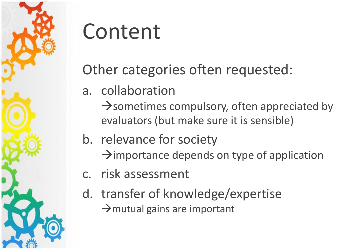

#### Other categories often requested:

- a. collaboration
	- $\rightarrow$  sometimes compulsory, often appreciated by evaluators (but make sure it is sensible)
- b. relevance for society
	- $\rightarrow$  importance depends on type of application
- c. risk assessment
- d. transfer of knowledge/expertise  $\rightarrow$  mutual gains are important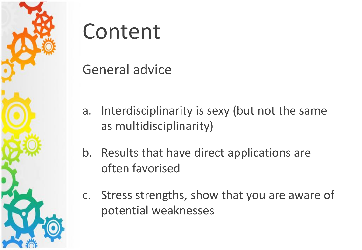

General advice

- a. Interdisciplinarity is sexy (but not the same as multidisciplinarity)
- b. Results that have direct applications are often favorised
- c. Stress strengths, show that you are aware of potential weaknesses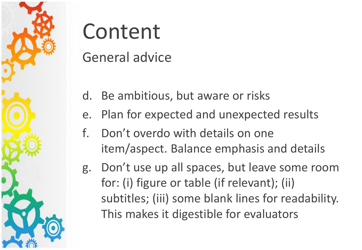

General advice

- d. Be ambitious, but aware or risks
- e. Plan for expected and unexpected results
- f. Don't overdo with details on one item/aspect. Balance emphasis and details
- g. Don't use up all spaces, but leave some room for: (i) figure or table (if relevant); (ii) subtitles; (iii) some blank lines for readability. This makes it digestible for evaluators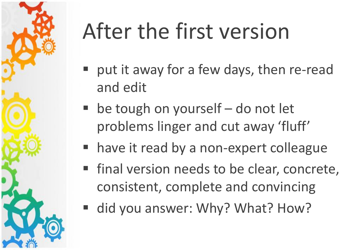

# After the first version

- put it away for a few days, then re-read and edit
- $\blacksquare$  be tough on yourself do not let problems linger and cut away 'fluff'
- have it read by a non-expert colleague
- final version needs to be clear, concrete, consistent, complete and convincing
- did you answer: Why? What? How?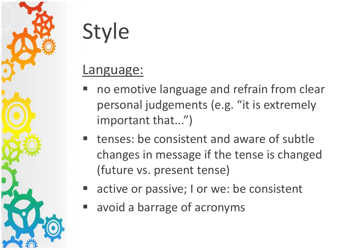

#### Language:

- no emotive language and refrain from clear personal judgements (e.g. "it is extremely important that...")
- tenses: be consistent and aware of subtle changes in message if the tense is changed (future vs. present tense)
- active or passive; I or we: be consistent
- avoid a barrage of acronyms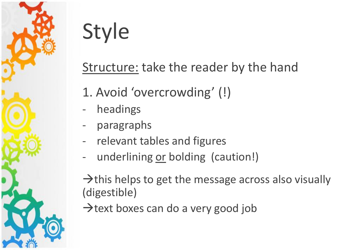

#### Structure: take the reader by the hand

- 1. Avoid 'overcrowding' (!)
- headings
- paragraphs
- relevant tables and figures
- underlining or bolding (caution!)

 $\rightarrow$  this helps to get the message across also visually (digestible)

 $\rightarrow$  text boxes can do a very good job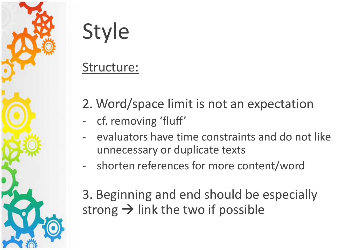

#### Structure:

- 2. Word/space limit is not an expectation
- cf. removing 'fluff'
- evaluators have time constraints and do not like unnecessary or duplicate texts
- shorten references for more content/word

3. Beginning and end should be especially strong  $\rightarrow$  link the two if possible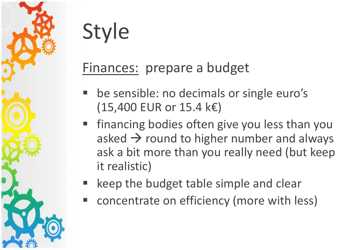#### Finances: prepare a budget

- be sensible: no decimals or single euro's (15,400 EUR or 15.4 k€)
- financing bodies often give you less than you asked  $\rightarrow$  round to higher number and always ask a bit more than you really need (but keep it realistic)
- keep the budget table simple and clear
- concentrate on efficiency (more with less)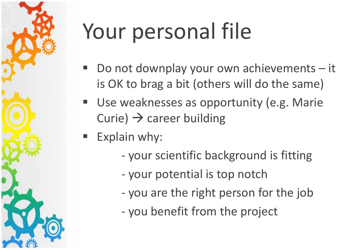# Your personal file

- Do not downplay your own achievements it is OK to brag a bit (others will do the same)
- Use weaknesses as opportunity (e.g. Marie Curie)  $\rightarrow$  career building
- $\blacksquare$  Explain why:
	- your scientific background is fitting
	- your potential is top notch
	- you are the right person for the job
	- you benefit from the project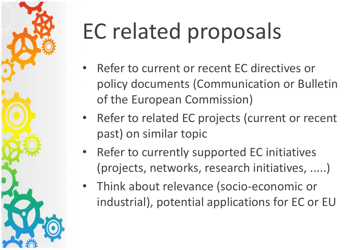# EC related proposals

- Refer to current or recent EC directives or policy documents (Communication or Bulletin of the European Commission)
- Refer to related EC projects (current or recent past) on similar topic
- Refer to currently supported EC initiatives (projects, networks, research initiatives, .....)
- Think about relevance (socio-economic or industrial), potential applications for EC or EU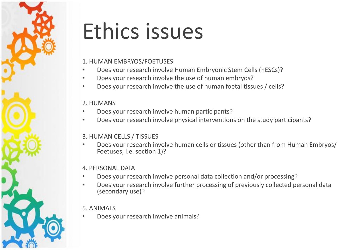## Ethics issues

#### 1. HUMAN EMBRYOS/FOETUSES

- Does your research involve Human Embryonic Stem Cells (hESCs)?
- Does your research involve the use of human embryos?
- Does your research involve the use of human foetal tissues / cells?

#### 2. HUMANS

- Does your research involve human participants?
- Does your research involve physical interventions on the study participants?

#### 3. HUMAN CELLS / TISSUES

• Does your research involve human cells or tissues (other than from Human Embryos/ Foetuses, i.e. section 1)?

#### 4. PERSONAL DATA

- Does your research involve personal data collection and/or processing?
- Does your research involve further processing of previously collected personal data (secondary use)?

#### 5. ANIMALS

• Does your research involve animals?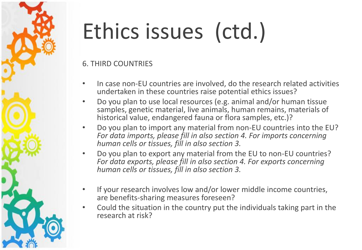# Ethics issues (ctd.)

6. THIRD COUNTRIES

- In case non-EU countries are involved, do the research related activities undertaken in these countries raise potential ethics issues?
- Do you plan to use local resources (e.g. animal and/or human tissue samples, genetic material, live animals, human remains, materials of historical value, endangered fauna or flora samples, etc.)?
- Do you plan to import any material from non-EU countries into the EU? *For data imports, please fill in also section 4. For imports concerning human cells or tissues, fill in also section 3.*
- Do you plan to export any material from the EU to non-EU countries? *For data exports, please fill in also section 4. For exports concerning human cells or tissues, fill in also section 3.*
- If your research involves low and/or lower middle income countries, are benefits-sharing measures foreseen?
- Could the situation in the country put the individuals taking part in the research at risk?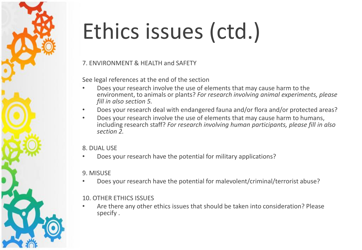# Ethics issues (ctd.)

#### 7. ENVIRONMENT & HEALTH and SAFETY

See legal references at the end of the section

- Does your research involve the use of elements that may cause harm to the environment, to animals or plants? *For research involving animal experiments, please fill in also section 5.*
- Does your research deal with endangered fauna and/or flora and/or protected areas?
- Does your research involve the use of elements that may cause harm to humans, including research staff? *For research involving human participants, please fill in also section 2.*

#### 8. DUAL USE

• Does your research have the potential for military applications?

#### 9. MISUSE

• Does your research have the potential for malevolent/criminal/terrorist abuse?

#### 10. OTHER ETHICS ISSUES

• Are there any other ethics issues that should be taken into consideration? Please specify .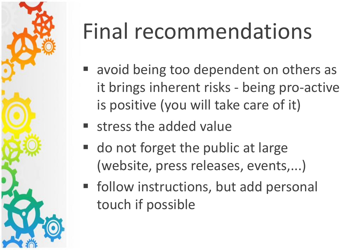

# Final recommendations

- avoid being too dependent on others as it brings inherent risks - being pro-active is positive (you will take care of it)
- **Exercise stress the added value**
- **do not forget the public at large** (website, press releases, events,...)
- **F** follow instructions, but add personal touch if possible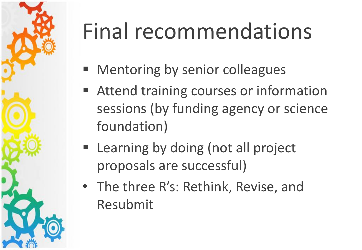# Final recommendations

- Mentoring by senior colleagues
- Attend training courses or information sessions (by funding agency or science foundation)
- **Example 2 Learning by doing (not all project** proposals are successful)
- The three R's: Rethink, Revise, and Resubmit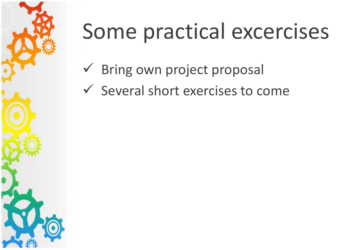

## Some practical excercises

- $\checkmark$  Bring own project proposal
- $\checkmark$  Several short exercises to come